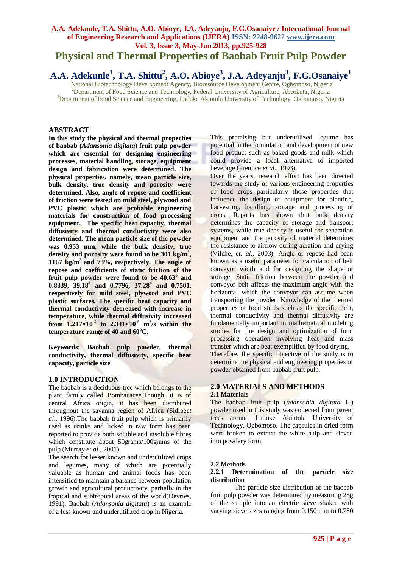## **A.A. Adekunle, T.A. Shittu, A.O. Abioye, J.A. Adeyanju, F.G.Osanaiye / International Journal of Engineering Research and Applications (IJERA) ISSN: 2248-9622 www.ijera.com Vol. 3, Issue 3, May-Jun 2013, pp.925-928**

**Physical and Thermal Properties of Baobab Fruit Pulp Powder**

**A.A. Adekunle<sup>1</sup> , T.A. Shittu<sup>2</sup> , A.O. Abioye<sup>3</sup> , J.A. Adeyanju<sup>3</sup> , F.G.Osanaiye<sup>1</sup>**

<sup>1</sup>National Biotechnology Development Agency, Bioresource Development Centre, Ogbomoso, Nigeria <sup>2</sup>Department of Food Science and Technology, Federal University of Agriculture, Abeokuta, Nigeria <sup>3</sup>Department of Food Science and Engineering, Ladoke Akintola University of Technology, Ogbomoso, Nigeria

## **ABSTRACT**

**In this study the physical and thermal properties of baobab (***Adansonia digitata***) fruit pulp powder which are essential for designing engineering processes, material handling, storage, equipment design and fabrication were determined. The physical properties, namely, mean particle size, bulk density, true density and porosity were determined. Also, angle of repose and coefficient of friction were tested on mild steel, plywood and PVC plastic which are probable engineering materials for construction of food processing equipment. The specific heat capacity, thermal diffusivity and thermal conductivity were also determined. The mean particle size of the powder was 0.953 mm, while the bulk density, true density and porosity were found to be 301 kg/m<sup>3</sup> , 1167 kg/m<sup>3</sup>and 73%, respectively. The angle of repose and coefficients of static friction of the**  fruit pulp powder were found to be 40.63<sup>°</sup> and **0.8339, 39.18<sup>o</sup> and 0.7796, 37.28<sup>o</sup> and 0.7501, respectively for mild steel, plywood and PVC plastic surfaces. The specific heat capacity and thermal conductivity decreased with increase in temperature, while thermal diffusivity increased from 1.217×10<sup>-5</sup> to 2.341×10<sup>-5</sup> m<sup>2</sup>/s within the temperature range of 40 and 60<sup>o</sup>C.**

**Keywords: Baobab pulp powder, thermal conductivity, thermal diffusivity, specific heat capacity, particle size** 

## **1.0 INTRODUCTION**

The baobab is a deciduous tree which belongs to the plant family called Bombacacee.Though, it is of central Africa origin, it has been distributed throughout the savanna region of Africa (Sidibe*et al*., 1996).The baobab fruit pulp which is primarily used as drinks and licked in raw form has been reported to provide both soluble and insoluble fibres which constitute about 50grams/100grams of the pulp (Murray *et al.,* 2001).

The search for lesser known and underutilized crops and legumes, many of which are potentially valuable as human and animal foods has been intensified to maintain a balance between population growth and agricultural productivity, partially in the tropical and subtropical areas of the world(Devries, 1991). Baobab (*Adansonia digitata*) is an example of a less known and underutilized crop in Nigeria.

This promising but underutilized legume has potential in the formulation and development of new food product such as baked goods and milk which could provide a local alternative to imported beverage (Prentice *et al.,* 1993).

Over the years, research effort has been directed towards the study of various engineering properties of food crops particularly those properties that influence the design of equipment for planting, harvesting, handling, storage and processing of crops. Reports has shown that bulk density determines the capacity of storage and transport systems, while true density is useful for separation equipment and the porosity of material determines the resistance to airflow during aeration and drying (Vilche, *et. al.,* 2003). Angle of repose had been known as a useful parameter for calculation of belt conveyor width and for designing the shape of storage. Static friction between the powder and conveyor belt affects the maximum angle with the horizontal which the conveyor can assume when transporting the powder. Knowledge of the thermal properties of food stuffs such as the specific heat, thermal conductivity and thermal diffusivity are fundamentally important in mathematical modeling studies for the design and optimization of food processing operation involving heat and mass transfer which are beat exemplified by food drying. Therefore, the specific objective of the study is to determine the physical and engineering properties of powder obtained from baobab fruit pulp.

## **2.0 MATERIALS AND METHODS 2.1 Materials**

The baobab fruit pulp (*adansonia digitata* L.) powder used in this study was collected from parent trees around Ladoke Akintola University of Technology, Ogbomoso. The capsules in dried form were broken to extract the white pulp and sieved into powdery form.

#### **2.2 Methods**

#### **2.2.1 Determination of the particle size distribution**

The particle size distribution of the baobab fruit pulp powder was determined by measuring 25g of the sample into an electric sieve shaker with varying sieve sizes ranging from 0.150 mm to 0.780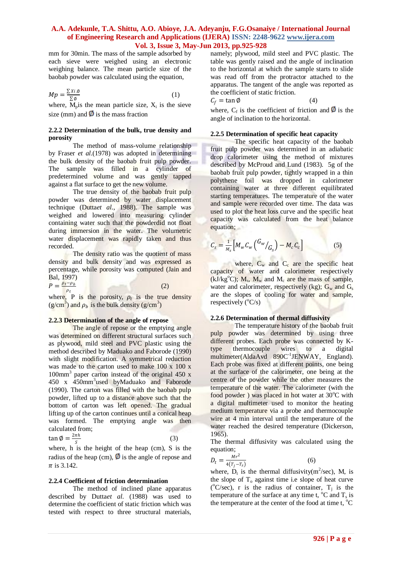#### **A.A. Adekunle, T.A. Shittu, A.O. Abioye, J.A. Adeyanju, F.G.Osanaiye / International Journal of Engineering Research and Applications (IJERA) ISSN: 2248-9622 www.ijera.com Vol. 3, Issue 3, May-Jun 2013, pp.925-928**

mm for 30min. The mass of the sample adsorbed by each sieve were weighed using an electronic weighing balance. The mean particle size of the baobab powder was calculated using the equation,

$$
Mp = \frac{\sum x_i \phi}{\sum \phi} \tag{1}
$$

where,  $M$ <sub>p</sub>is the mean particle size,  $X_i$  is the sieve size (mm) and  $\emptyset$  is the mass fraction

#### **2.2.2 Determination of the bulk, true density and porosity**

The method of mass-volume relationship by Fraser *et al.*(1978) was adopted in determining the bulk density of the baobab fruit pulp powder. The sample was filled in a cylinder of predetermined volume and was gently tapped against a flat surface to get the new volume.

The true density of the baobab fruit pulp powder was determined by water displacement technique (Dutta*et al*., 1988). The sample was weighed and lowered into measuring cylinder containing water such that the powderdid not float during immersion in the water. The volumetric water displacement was rapidly taken and thus recorded.

The density ratio was the quotient of mass density and bulk density and was expressed as percentage, while porosity was computed (Jain and Bal, 1997)

$$
P = \frac{\rho_t - \rho_b}{\rho_t} \tag{2}
$$

where, P is the porosity,  $\rho_t$  is the true density  $(g/cm<sup>3</sup>)$  and  $\rho_b$  is the bulk density  $(g/cm<sup>3</sup>)$ 

## **2.2.3 Determination of the angle of repose**

The angle of repose or the emptying angle was determined on different structural surfaces such as plywood, mild steel and PVC plastic using the method described by Maduako and Faborode (1990) with slight modification. A symmetrical reduction was made to the carton used to make 100 x 100 x 100mm<sup>3</sup> paper carton instead of the original 450 x 450 x 450mm<sup>3</sup> used byMaduako and Faborode (1990). The carton was filled with the baobab pulp powder, lifted up to a distance above such that the bottom of carton was left opened. The gradual lifting up of the carton continues until a conical heap was formed. The emptying angle was then calculated from;  $\tan \varnothing = \frac{2\pi h}{s}$  $\frac{nn}{s}$  (3)

where, h is the height of the heap (cm), S is the radius of the heap (cm),  $\emptyset$  is the angle of repose and  $\pi$  is 3.142.

## **2.2.4 Coefficient of friction determination**

The method of inclined plane apparatus described by Dutta*et al*. (1988) was used to determine the coefficient of static friction which was tested with respect to three structural materials, namely; plywood, mild steel and PVC plastic. The table was gently raised and the angle of inclination to the horizontal at which the sample starts to slide was read off from the protractor attached to the apparatus. The tangent of the angle was reported as the coefficient of static friction.

$$
C_f = \tan \phi \tag{4}
$$

where,  $C_f$  is the coefficient of friction and  $\boldsymbol{0}$  is the angle of inclination to the horizontal.

## **2.2.5 Determination of specific heat capacity**

The specific heat capacity of the baobab fruit pulp powder was determined in an adiabatic drop calorimeter using the method of mixtures described by McProud and Lund (1983). 5g of the baobab fruit pulp powder, tightly wrapped in a thin polythene foil was dropped in calorimeter containing water at three different equilibrated starting temperatures. The temperature of the water and sample were recorded over time. The data was used to plot the heat loss curve and the specific heat capacity was calculated from the heat balance equation;

$$
C_s = \frac{1}{M_s} \left[ M_w C_w \left( \frac{G_w}{G_s} \right) - M_c C_c \right] \tag{5}
$$

につき

where,  $C_w$  and  $C_c$  are the specific heat capacity of water and calorimeter respectively  $(kJ/kg<sup>o</sup>C)$ ;  $M_s$ ,  $M_w$  and  $M_c$  are the mass of sample, water and calorimeter, respectively (kg);  $G_w$  and  $G_s$ are the slopes of cooling for water and sample, respectively  $(^{\circ}C/s)$ 

## **2.2.6 Determination of thermal diffusivity**

The temperature history of the baobab fruit pulp powder was determined by using three different probes. Each probe was connected by Ktype thermocouple wires to a digital multimeter(AldaAvd 890C<sup>-1</sup>JENWAY, England). Each probe was fixed at different points, one being at the surface of the calorimeter, one being at the centre of the powder while the other measures the temperature of the water. The calorimeter (with the food powder) was placed in hot water at  $30^{\circ}$ C with a digital multimeter used to monitor the heating medium temperature via a probe and thermocouple wire at 4 min interval until the temperature of the water reached the desired temperature (Dickerson, 1965).

The thermal diffusivity was calculated using the equation;

$$
D_t = \frac{Mr^2}{4(T_j - T_s)}
$$
(6)

where,  $D_t$  is the thermal diffusivity(m<sup>2</sup>/sec), M, is the slope of  $T_0$  against time i.e slope of heat curve ( $^{\circ}$ C/sec), r is the radius of container, T<sub>j</sub> is the temperature of the surface at any time t,  $^{\circ}C$  and  $T_s$  is the temperature at the center of the food at time t,  $^{\circ}C$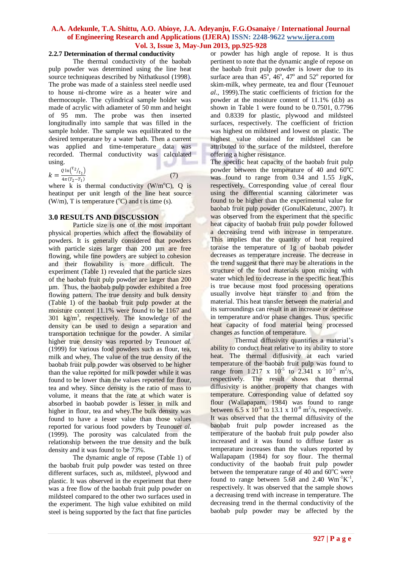## **A.A. Adekunle, T.A. Shittu, A.O. Abioye, J.A. Adeyanju, F.G.Osanaiye / International Journal of Engineering Research and Applications (IJERA) ISSN: 2248-9622 www.ijera.com Vol. 3, Issue 3, May-Jun 2013, pp.925-928**

## **2.2.7 Determination of thermal conductivity**

The thermal conductivity of the baobab pulp powder was determined using the line heat source techniqueas described by Nithatkusol (1998). The probe was made of a stainless steel needle used to house ni-chrome wire as a heater wire and thermocouple. The cylindrical sample holder was made of acrylic with adiameter of 50 mm and height of 95 mm. The probe was then inserted longitudinally into sample that was filled in the sample holder. The sample was equilibrated to the desired temperature by a water bath. Then a current was applied and time-temperature data was recorded. Thermal conductivity was calculated using. s.

 $k = \frac{Q \ln \binom{t_2}{t_1}}{4 - (T - T)}$  $4\pi (T_2-T_1)$ 

(7)

where k is thermal conductivity  $(W/m^{\circ}C)$ , Q is heatinput per unit length of the line heat source (W/m), T is temperature  $({}^{o}C)$  and t is time (s).

## **3.0 RESULTS AND DISCUSSION**

Particle size is one of the most important physical properties which affect the flowability of powders. It is generally considered that powders with particle sizes larger than 200 µm are free flowing, while fine powders are subject to cohesion and their flowability is more difficult. The experiment (Table 1) revealed that the particle sizes of the baobab fruit pulp powder are larger than 200 µm. Thus, the baobab pulp powder exhibited a free flowing pattern. The true density and bulk density (Table 1) of the baobab fruit pulp powder at the moisture content 11.1% were found to be 1167 and 301 kg/m<sup>3</sup> , respectively. The knowledge of the density can be used to design a separation and transportation technique for the powder. A similar higher true density was reported by Teunou*et al.*  (1999) for various food powders such as flour, tea, milk and whey. The value of the true density of the baobab fruit pulp powder was observed to be higher than the value reported for milk powder while it was found to be lower than the values reported for flour, tea and whey. Since density is the ratio of mass to volume, it means that the rate at which water is absorbed in baobab powder is lesser in milk and higher in flour, tea and whey.The bulk density was found to have a lesser value than those values reported for various food powders by Teunou*et al.*  (1999). The porosity was calculated from the relationship between the true density and the bulk density and it was found to be 73%.

The dynamic angle of repose (Table 1) of the baobab fruit pulp powder was tested on three different surfaces, such as, mildsteel, plywood and plastic. It was observed in the experiment that there was a free flow of the baobab fruit pulp powder on mildsteel compared to the other two surfaces used in the experiment. The high value exhibited on mild steel is being supported by the fact that fine particles or powder has high angle of repose. It is thus pertinent to note that the dynamic angle of repose on the baobab fruit pulp powder is lower due to its surface area than  $45^\circ$ ,  $46^\circ$ ,  $47^\circ$  and  $52^\circ$  reported for skim-milk, whey permeate, tea and flour (Teunou*et al.,* 1999).The static coefficients of friction for the powder at the moisture content of 11.1% (d.b) as shown in Table 1 were found to be 0.7501, 0.7796 and 0.8339 for plastic, plywood and mildsteel surfaces, respectively. The coefficient of friction was highest on mildsteel and lowest on plastic. The highest value obtained for mildsteel can be attributed to the surface of the mildsteel, therefore offering a higher resistance.

The specific heat capacity of the baobab fruit pulp powder between the temperature of 40 and  $60^{\circ}$ C was found to range from  $0.34$  and  $1.55$  J/gK, respectively. Corresponding value of cereal flour using the differential scanning calorimeter was found to be higher than the experimental value for baobab fruit pulp powder (GonulKaletunc, 2007). It was observed from the experiment that the specific heat capacity of baobab fruit pulp powder followed a decreasing trend with increase in temperature. This implies that the quantity of heat required toraise the temperature of 1g of baobab powder decreases as temperature increase. The decrease in the trend suggest that there may be alterations in the structure of the food materials upon mixing with water which led to decrease in the specific heat. This is true because most food processing operations usually involve heat transfer to and from the material. This heat transfer between the material and its surroundings can result in an increase or decrease in temperature and/or phase changes. Thus, specific heat capacity of food material being processed changes as function of temperature.

Thermal diffusivity quantifies a material's ability to conduct heat relative to its ability to store heat. The thermal diffusivity at each varied temperature of the baobab fruit pulp was found to range from 1.217 x  $10^{-5}$  to 2.341 x  $10^{-5}$  m<sup>2</sup>/s, respectively. The result shows that thermal diffusivity is another property that changes with temperature. Corresponding value of defatted soy flour (Wallapapam, 1984) was found to range between  $6.5 \times 10^{-8}$  to 13.1 x  $10^{-8}$  m<sup>2</sup>/s, respectively. It was observed that the thermal diffusivity of the baobab fruit pulp powder increased as the temperature of the baobab fruit pulp powder also increased and it was found to diffuse faster as temperature increases than the values reported by Wallapapam (1984) for soy flour. The thermal conductivity of the baobab fruit pulp powder between the temperature range of 40 and  $60^{\circ}$ C were found to range between 5.68 and 2.40  $Wm^{-1}K^{-1}$ , respectively. It was observed that the sample shows a decreasing trend with increase in temperature. The decreasing trend in the thermal conductivity of the baobab pulp powder may be affected by the